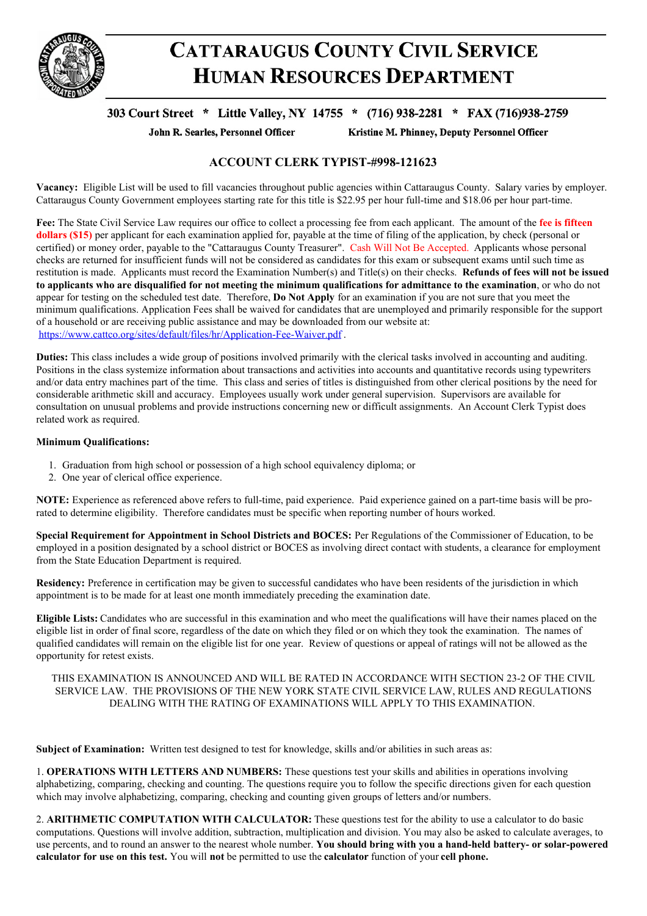

# **CATTARAUGUS COUNTY CIVIL SERVICE HUMAN RESOURCES DEPARTMENT**

# 303 Court Street \* Little Valley, NY 14755 \* (716) 938-2281 \* FAX (716)938-2759

John R. Searles, Personnel Officer

Kristine M. Phinney, Deputy Personnel Officer

## **ACCOUNT CLERK TYPIST-#998-121623**

**Vacancy:** Eligible List will be used to fill vacancies throughout public agencies within Cattaraugus County. Salary varies by employer. Cattaraugus County Government employees starting rate for this title is \$22.95 per hour full-time and \$18.06 per hour part-time.

**Fee:** The State Civil Service Law requires our office to collect a processing fee from each applicant. The amount of the **fee is fifteen dollars** (\$15) per applicant for each examination applied for, payable at the time of filing of the application, by check (personal or certified) or money order, payable to the "Cattaraugus County Treasurer". Cash Will Not Be Accepted. Applicants whose personal checks are returned for insufficient funds will not be considered as candidates for this exam or subsequent exams until such time as restitution is made. Applicants must record the Examination Number(s) and Title(s) on their checks. **Refunds of fees will not be issued** to applicants who are disqualified for not meeting the minimum qualifications for admittance to the examination, or who do not appear for testing on the scheduled test date. Therefore, **Do Not Apply** for an examination if you are not sure that you meet the minimum qualifications. Application Fees shall be waived for candidates that are unemployed and primarily responsible for the support of a household or are receiving public assistance and may be downloaded from our website at: <https://www.cattco.org/sites/default/files/hr/Application-Fee-Waiver.pdf> .

**Duties:** This class includes a wide group of positions involved primarily with the clerical tasks involved in accounting and auditing. Positions in the class systemize information about transactions and activities into accounts and quantitative records using typewriters and/or data entry machines part of the time. This class and series of titles is distinguished from other clerical positions by the need for considerable arithmetic skill and accuracy. Employees usually work under general supervision. Supervisors are available for consultation on unusual problems and provide instructions concerning new or difficult assignments. An Account Clerk Typist does related work as required.

## **Minimum Qualifications:**

- 1. Graduation from high school or possession of a high school equivalency diploma; or
- 2. One year of clerical office experience.

**NOTE:** Experience as referenced above refers to full-time, paid experience. Paid experience gained on a part-time basis will be prorated to determine eligibility. Therefore candidates must be specific when reporting number of hours worked.

**Special Requirement for Appointment in School Districts and BOCES:** Per Regulations of the Commissioner of Education, to be employed in a position designated by a school district or BOCES as involving direct contact with students, a clearance for employment from the State Education Department is required.

**Residency:** Preference in certification may be given to successful candidates who have been residents of the jurisdiction in which appointment is to be made for at least one month immediately preceding the examination date.

**Eligible Lists:** Candidates who are successful in this examination and who meet the qualifications will have their names placed on the eligible list in order of final score, regardless of the date on which they filed or on which they took the examination. The names of qualified candidates will remain on the eligible list for one year. Review of questions or appeal of ratings will not be allowed as the opportunity for retest exists.

### THIS EXAMINATION IS ANNOUNCED AND WILL BE RATED IN ACCORDANCE WITH SECTION 23-2 OF THE CIVIL SERVICE LAW. THE PROVISIONS OF THE NEW YORK STATE CIVIL SERVICE LAW, RULES AND REGULATIONS DEALING WITH THE RATING OF EXAMINATIONS WILL APPLY TO THIS EXAMINATION.

**Subject of Examination:** Written test designed to test for knowledge, skills and/or abilities in such areas as:

1. **OPERATIONS WITH LETTERS AND NUMBERS:** These questions test your skills and abilities in operations involving alphabetizing, comparing, checking and counting. The questions require you to follow the specific directions given for each question which may involve alphabetizing, comparing, checking and counting given groups of letters and/or numbers.

2. **ARITHMETIC COMPUTATION WITH CALCULATOR:** These questions test for the ability to use a calculator to do basic computations. Questions will involve addition, subtraction, multiplication and division. You may also be asked to calculate averages, to use percents, and to round an answer to the nearest whole number. **You should bring with you a hand-held battery- or solar-powered calculator for use on this test.** You will **not** be permitted to use the **calculator** function of your **cell phone.**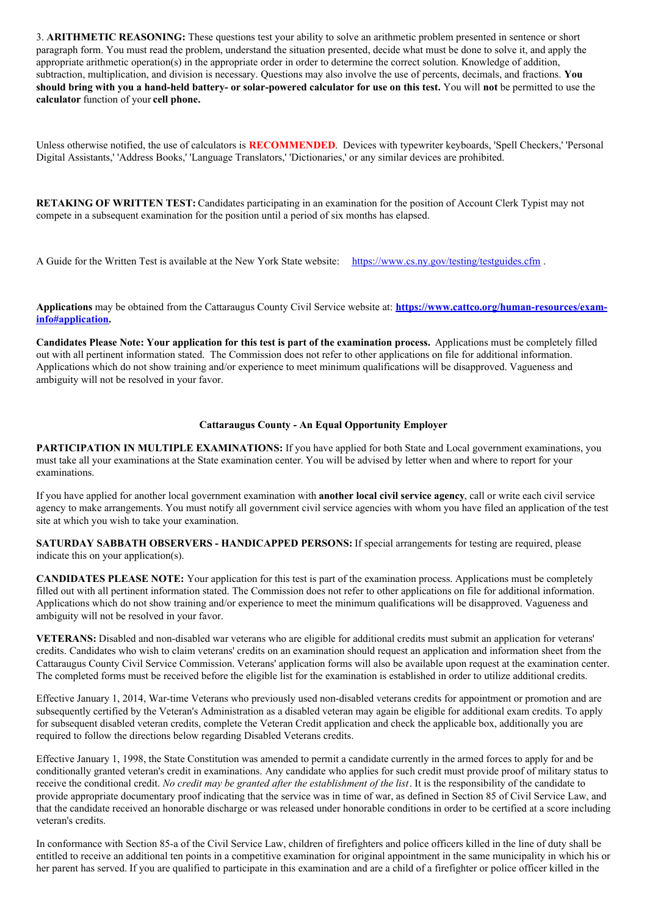3. **ARITHMETIC REASONING:** These questions test your ability to solve an arithmetic problem presented in sentence or short paragraph form. You must read the problem, understand the situation presented, decide what must be done to solve it, and apply the appropriate arithmetic operation(s) in the appropriate order in order to determine the correct solution. Knowledge of addition, subtraction, multiplication, and division is necessary. Questions may also involve the use of percents, decimals, and fractions. **You** should bring with you a hand-held battery- or solar-powered calculator for use on this test. You will not be permitted to use the **calculator** function of your **cell phone.**

Unless otherwise notified, the use of calculators is **RECOMMENDED**. Devices with typewriter keyboards, 'Spell Checkers,' 'Personal Digital Assistants,' 'Address Books,' 'Language Translators,' 'Dictionaries,' or any similar devices are prohibited.

**RETAKING OF WRITTEN TEST:** Candidates participating in an examination for the position of Account Clerk Typist may not compete in a subsequent examination for the position until a period of six months has elapsed.

A Guide for the Written Test is available at the New York State website: <https://www.cs.ny.gov/testing/testguides.cfm> .

**Applications** may be obtained from the Cattaraugus County Civil Service website at: **[https://www.cattco.org/human-resources/exam](https://www.cattco.org/human-resources/exam-info#application)info#application.**

Candidates Please Note: Your application for this test is part of the examination process. Applications must be completely filled out with all pertinent information stated. The Commission does not refer to other applications on file for additional information. Applications which do not show training and/or experience to meet minimum qualifications will be disapproved. Vagueness and ambiguity will not be resolved in your favor.

#### **Cattaraugus County - An Equal Opportunity Employer**

**PARTICIPATION IN MULTIPLE EXAMINATIONS:** If you have applied for both State and Local government examinations, you must take all your examinations at the State examination center. You will be advised by letter when and where to report for your examinations.

If you have applied for another local government examination with **another local civil service agency**, call or write each civil service agency to make arrangements. You must notify all government civil service agencies with whom you have filed an application of the test site at which you wish to take your examination.

**SATURDAY SABBATH OBSERVERS - HANDICAPPED PERSONS:** If special arrangements for testing are required, please indicate this on your application(s).

**CANDIDATES PLEASE NOTE:** Your application for this test is part of the examination process. Applications must be completely filled out with all pertinent information stated. The Commission does not refer to other applications on file for additional information. Applications which do not show training and/or experience to meet the minimum qualifications will be disapproved. Vagueness and ambiguity will not be resolved in your favor.

**VETERANS:** Disabled and non-disabled war veterans who are eligible for additional credits must submit an application for veterans' credits. Candidates who wish to claim veterans' credits on an examination should request an application and information sheet from the Cattaraugus County Civil Service Commission. Veterans' application forms will also be available upon request at the examination center. The completed forms must be received before the eligible list for the examination is established in order to utilize additional credits.

Effective January 1, 2014, War-time Veterans who previously used non-disabled veterans credits for appointment or promotion and are subsequently certified by the Veteran's Administration as a disabled veteran may again be eligible for additional exam credits. To apply for subsequent disabled veteran credits, complete the Veteran Credit application and check the applicable box, additionally you are required to follow the directions below regarding Disabled Veterans credits.

Effective January 1, 1998, the State Constitution was amended to permit a candidate currently in the armed forces to apply for and be conditionally granted veteran's credit in examinations. Any candidate who applies for such credit must provide proof of military status to receive the conditional credit. *No credit may be granted after the establishment of the list*. It is the responsibility of the candidate to provide appropriate documentary proof indicating that the service was in time of war, as defined in Section 85 of Civil Service Law, and that the candidate received an honorable discharge or was released under honorable conditions in order to be certified at a score including veteran's credits.

In conformance with Section 85-a of the Civil Service Law, children of firefighters and police officers killed in the line of duty shall be entitled to receive an additional ten points in a competitive examination for original appointment in the same municipality in which his or her parent has served. If you are qualified to participate in this examination and are a child of a firefighter or police officer killed in the